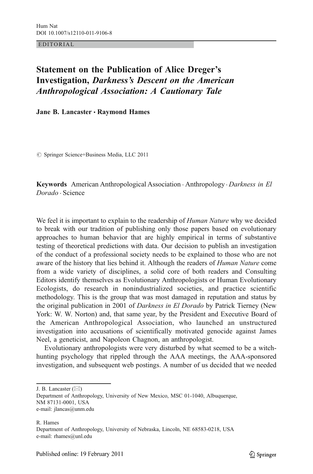EDITORIAL

## Statement on the Publication of Alice Dreger's Investigation, Darkness's Descent on the American  $\overline{A}$  association:  $\overline{A}$

Jane B. Lancaster · Raymond Hames

 $\oslash$  Springer Science+Business Media, LLC 2011

**Keywords** American Anthropological Association  $\cdot$  Anthropology  $\cdot$  *Darkness in El* Dorado . Science

We feel it is important to explain to the readership of Human Nature why we decided to break with our tradition of publishing only those papers based on evolutionary approaches to human behavior that are highly empirical in terms of substantive testing of theoretical predictions with data. Our decision to publish an investigation of the conduct of a professional society needs to be explained to those who are not aware of the history that lies behind it. Although the readers of *Human Nature* come from a wide variety of disciplines, a solid core of both readers and Consulting Editors identify themselves as Evolutionary Anthropologists or Human Evolutionary Ecologists, do research in nonindustrialized societies, and practice scientific methodology. This is the group that was most damaged in reputation and status by the original publication in 2001 of Darkness in El Dorado by Patrick Tierney (New York: W. W. Norton) and, that same year, by the President and Executive Board of the American Anthropological Association, who launched an unstructured investigation into accusations of scientifically motivated genocide against James Neel, a geneticist, and Napoleon Chagnon, an anthropologist.

Evolutionary anthropologists were very disturbed by what seemed to be a witchhunting psychology that rippled through the AAA meetings, the AAA-sponsored investigation, and subsequent web postings. A number of us decided that we needed

J. B. Lancaster  $(\boxtimes)$ 

Department of Anthropology, University of New Mexico, MSC 01-1040, Albuquerque, NM 87131-0001, USA e-mail: jlancas@unm.edu